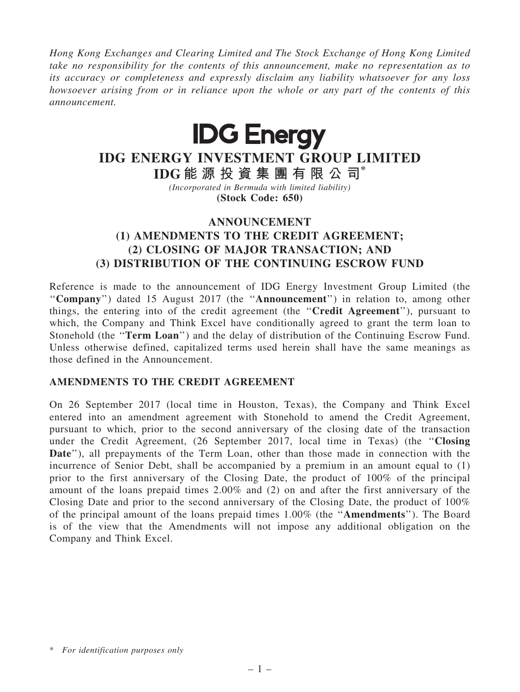Hong Kong Exchanges and Clearing Limited and The Stock Exchange of Hong Kong Limited take no responsibility for the contents of this announcement, make no representation as to its accuracy or completeness and expressly disclaim any liability whatsoever for any loss howsoever arising from or in reliance upon the whole or any part of the contents of this announcement.



# IDG ENERGY INVESTMENT GROUP LIMITED

IDG 能 源 投 資 集 團 有 限 公 司\* (Incorporated in Bermuda with limited liability)

(Stock Code: 650)

## ANNOUNCEMENT (1) AMENDMENTS TO THE CREDIT AGREEMENT; (2) CLOSING OF MAJOR TRANSACTION; AND (3) DISTRIBUTION OF THE CONTINUING ESCROW FUND

Reference is made to the announcement of IDG Energy Investment Group Limited (the "Company") dated 15 August 2017 (the "Announcement") in relation to, among other things, the entering into of the credit agreement (the ''Credit Agreement''), pursuant to which, the Company and Think Excel have conditionally agreed to grant the term loan to Stonehold (the "Term Loan") and the delay of distribution of the Continuing Escrow Fund. Unless otherwise defined, capitalized terms used herein shall have the same meanings as those defined in the Announcement.

### AMENDMENTS TO THE CREDIT AGREEMENT

On 26 September 2017 (local time in Houston, Texas), the Company and Think Excel entered into an amendment agreement with Stonehold to amend the Credit Agreement, pursuant to which, prior to the second anniversary of the closing date of the transaction under the Credit Agreement, (26 September 2017, local time in Texas) (the ''Closing Date"), all prepayments of the Term Loan, other than those made in connection with the incurrence of Senior Debt, shall be accompanied by a premium in an amount equal to (1) prior to the first anniversary of the Closing Date, the product of 100% of the principal amount of the loans prepaid times 2.00% and (2) on and after the first anniversary of the Closing Date and prior to the second anniversary of the Closing Date, the product of 100% of the principal amount of the loans prepaid times 1.00% (the ''Amendments''). The Board is of the view that the Amendments will not impose any additional obligation on the Company and Think Excel.

<sup>\*</sup> For identification purposes only